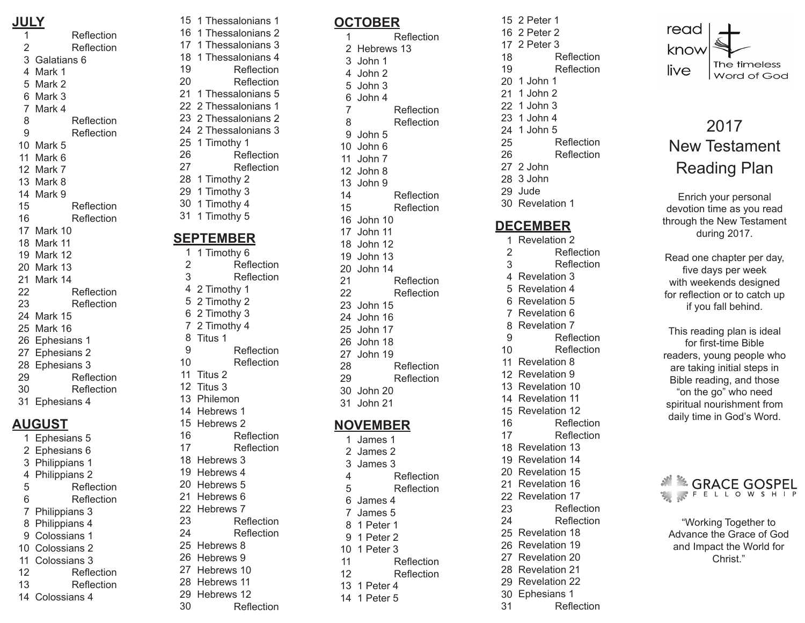#### **JULY**

Reflection  $\mathbf{1}$ 123456789  $\mathfrak{p}$ Reflection Galatians 6 4 Mark 1 Mark 2 Mark 3 Mark 4 8 Reflection 9 Reflection 10 Mark 5 11 Mark 6 12 Mark 7 13 Mark 8 14 Mark 9 15 Reflection 16 Reflection 17 Mark 10 18 Mark 11 Mark 12 19 Mark 13 20 Mark 14 21 Reflection 22 23 Reflection Mark 15 24 25 Mark 16 26 Ephesians 1 27 Ephesians 2 Ephesians 3 28 29 Reflection 30 Reflection Ephesians 4 **AUGUST**

31<br>1<br>2<br>3<br>4<br>5<br>6<br>7<br>8<br>9 Ephesians 5 2 Ephesians 6 Philippians 1 3 4 Philippians 2 5 Reflection 6 Reflection Philippians 3 8 Philippians 4 9 Colossians 1 Colossians 2 10 Colossians 3 11 12 Reflection 13 Reflection 14 Colossians 4

Reflection

13 1 Peter 4 14 1 Peter 5

12

#### **DECEMBER**

30<br>1<br>2<br>3<br>4<br>5<br>6<br>7<br>8<br>9 1 Revelation 2  $\overline{2}$ Reflection 3 Reflection 4 Revelation 3 Revelation 4 5 6 Revelation 5  $\overline{7}$ Revelation 6 Revelation 7 8 9 Reflection 10 Reflection 11 Revelation 8 12 Revelation 9 13 Revelation 10 14 Revelation 11 15 Revelation 12 Reflection 16 17 Reflection Revelation 13 18 19 Revelation 14 Revelation 15 20 21 Revelation 16 Revelation 17 22 Reflection 23 Reflection 24 Revelation 18 25 26 Revelation 19 Revelation 20 27 28 Revelation 21 29 Revelation 22 Ephesians 1 30 31 Reflection read know The timeless live Word of God

# 2017 New Testament Reading Plan

Enrich your personal devotion time as you read through the New Testament during 2017.

Read one chapter per day, five days per week with weekends designed for reflection or to catch up if you fall behind.

This reading plan is ideal for first-time Bible readers, young people who are taking initial steps in Bible reading, and those "on the go" who need spiritual nourishment from daily time in God's Word.

## & GRACE GOSPEL FELLOWSHIP

"Working Together to Advance the Grace of God and Impact the World for Christ."